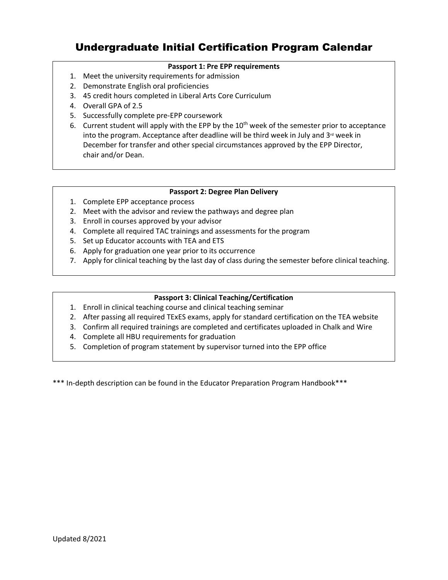# Undergraduate Initial Certification Program Calendar

## **Passport 1: Pre EPP requirements**

- 1. Meet the university requirements for admission
- 2. Demonstrate English oral proficiencies
- 3. 45 credit hours completed in Liberal Arts Core Curriculum
- 4. Overall GPA of 2.5
- 5. Successfully complete pre-EPP coursework
- 6. Current student will apply with the EPP by the  $10<sup>th</sup>$  week of the semester prior to acceptance into the program. Acceptance after deadline will be third week in July and  $3<sup>rd</sup>$  week in December for transfer and other special circumstances approved by the EPP Director, chair and/or Dean.

### **Passport 2: Degree Plan Delivery**

- 1. Complete EPP acceptance process
- 2. Meet with the advisor and review the pathways and degree plan
- 3. Enroll in courses approved by your advisor
- 4. Complete all required TAC trainings and assessments for the program
- 5. Set up Educator accounts with TEA and ETS
- 6. Apply for graduation one year prior to its occurrence
- 7. Apply for clinical teaching by the last day of class during the semester before clinical teaching.

## **Passport 3: Clinical Teaching/Certification**

- 1. Enroll in clinical teaching course and clinical teaching seminar
- 2. After passing all required TExES exams, apply for standard certification on the TEA website
- 3. Confirm all required trainings are completed and certificates uploaded in Chalk and Wire
- 4. Complete all HBU requirements for graduation
- 5. Completion of program statement by supervisor turned into the EPP office

\*\*\* In-depth description can be found in the Educator Preparation Program Handbook\*\*\*